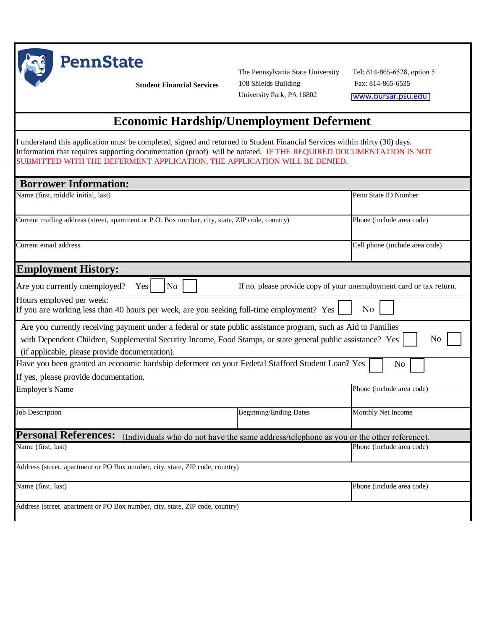

**PennState** 

**Student Financial Services**

The Pennsylvania State University 108 Shields Building University Park, PA 16802

Tel: 814-865-6528, option 5 Fax: 814-865-6535 w[ww.bursar.psu.edu](www.bursar.psu.edu)

## **Economic Hardship/Unemployment Deferment**

I understand this application must be completed, signed and returned to Student Financial Services within thirty (30) days. Information that requires supporting documentation (proof) will be notated. IF THE REQUIRED DOCUMENTATION IS NOT SUBMITTED WITH THE DEFERMENT APPLICATION, THE APPLICATION WILL BE DENIED.

| <b>Borrower Information:</b>                                                                                                                                                                                                                                                     |                               |                                |  |  |
|----------------------------------------------------------------------------------------------------------------------------------------------------------------------------------------------------------------------------------------------------------------------------------|-------------------------------|--------------------------------|--|--|
| Name (first, middle initial, last)                                                                                                                                                                                                                                               |                               | Penn State ID Number           |  |  |
| Current mailing address (street, apartment or P.O. Box number, city, state, ZIP code, country)                                                                                                                                                                                   |                               | Phone (include area code)      |  |  |
| Current email address                                                                                                                                                                                                                                                            |                               | Cell phone (include area code) |  |  |
| <b>Employment History:</b>                                                                                                                                                                                                                                                       |                               |                                |  |  |
| Are you currently unemployed?<br>If no, please provide copy of your unemployment card or tax return.<br>Yes<br>N <sub>o</sub>                                                                                                                                                    |                               |                                |  |  |
| Hours employed per week:<br>If you are working less than 40 hours per week, are you seeking full-time employment? Yes                                                                                                                                                            |                               | N <sub>o</sub>                 |  |  |
| Are you currently receiving payment under a federal or state public assistance program, such as Aid to Families<br>with Dependent Children, Supplemental Security Income, Food Stamps, or state general public assistance? Yes<br>(if applicable, please provide documentation). |                               | No                             |  |  |
| Have you been granted an economic hardship deferment on your Federal Stafford Student Loan? Yes                                                                                                                                                                                  |                               | N <sub>o</sub>                 |  |  |
| If yes, please provide documentation.                                                                                                                                                                                                                                            |                               |                                |  |  |
| <b>Employer's Name</b>                                                                                                                                                                                                                                                           |                               | Phone (include area code)      |  |  |
| <b>Job Description</b>                                                                                                                                                                                                                                                           | <b>Beginning/Ending Dates</b> | Monthly Net Income             |  |  |
| <b>Personal References:</b><br>(Individuals who do not have the same address/telephone as you or the other reference).                                                                                                                                                           |                               |                                |  |  |
| Name (first, last)                                                                                                                                                                                                                                                               |                               | Phone (include area code)      |  |  |
| Address (street, apartment or PO Box number, city, state, ZIP code, country)                                                                                                                                                                                                     |                               |                                |  |  |
| Name (first, last)                                                                                                                                                                                                                                                               |                               | Phone (include area code)      |  |  |
| Address (street, apartment or PO Box number, city, state, ZIP code, country)                                                                                                                                                                                                     |                               |                                |  |  |